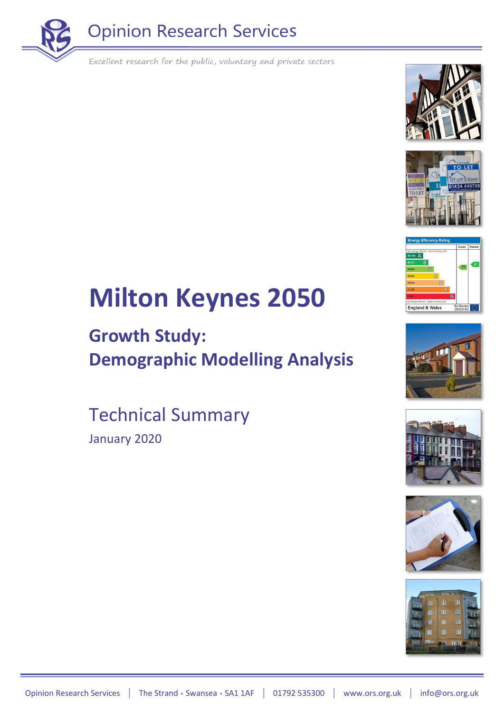















# **Milton Keynes 2050**

### **Growth Study: Demographic Modelling Analysis**

Technical Summary January 2020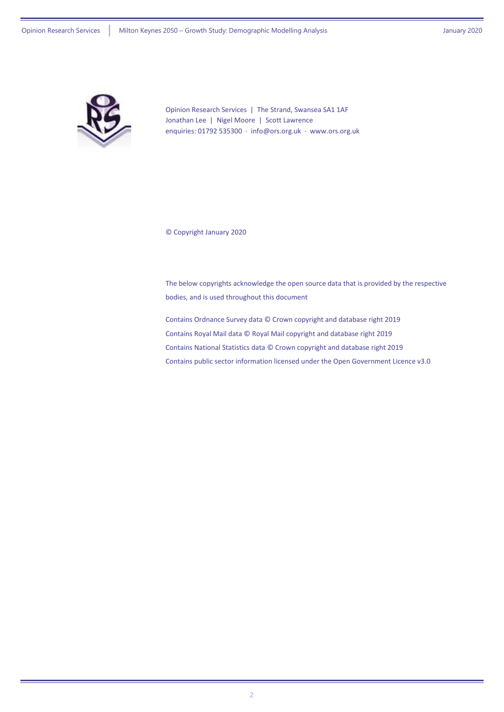

Opinion Research Services | The Strand, Swansea SA1 1AF Jonathan Lee | Nigel Moore | Scott Lawrence enquiries: 01792 535300 · [info@ors.org.uk](mailto:info@ors.org.uk) · [www.ors.org.uk](http://www.ors.org.uk/)

© Copyright January 2020

The below copyrights acknowledge the open source data that is provided by the respective bodies, and is used throughout this document

Contains Ordnance Survey data © Crown copyright and database right 2019 Contains Royal Mail data © Royal Mail copyright and database right 2019 Contains National Statistics data © Crown copyright and database right 2019 Contains public sector information licensed under the Open Government Licence v3.0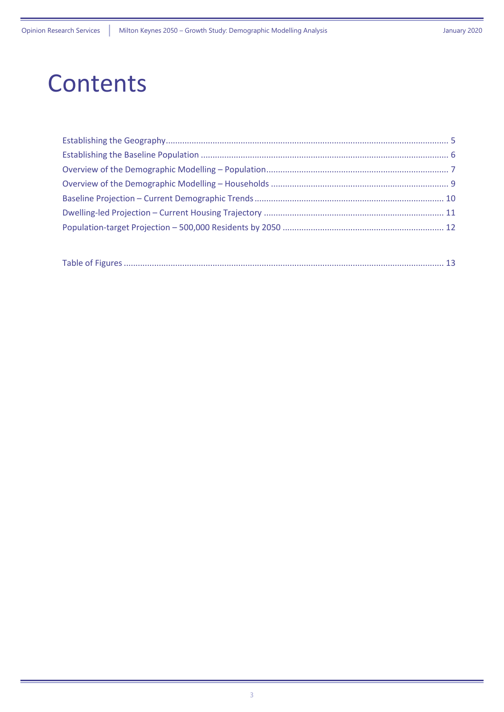### **Contents**

|--|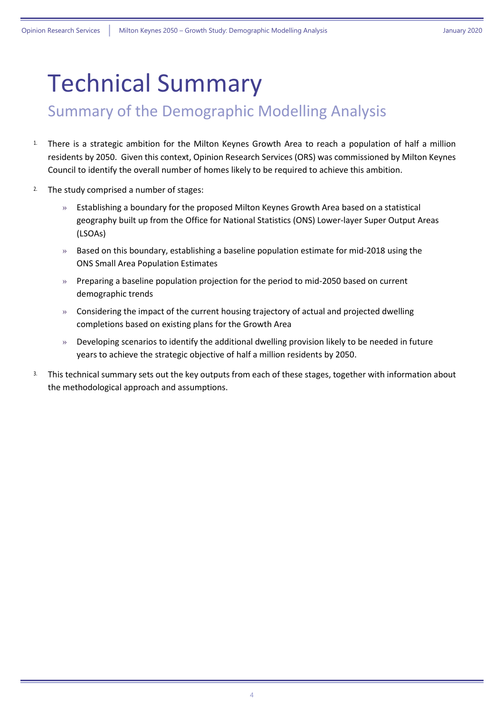### Technical Summary

#### Summary of the Demographic Modelling Analysis

- <sup>1</sup>. There is a strategic ambition for the Milton Keynes Growth Area to reach a population of half a million residents by 2050. Given this context, Opinion Research Services (ORS) was commissioned by Milton Keynes Council to identify the overall number of homes likely to be required to achieve this ambition.
- <sup>2.</sup> The study comprised a number of stages:
	- » Establishing a boundary for the proposed Milton Keynes Growth Area based on a statistical geography built up from the Office for National Statistics (ONS) Lower-layer Super Output Areas (LSOAs)
	- $\gg$  Based on this boundary, establishing a baseline population estimate for mid-2018 using the ONS Small Area Population Estimates
	- » Preparing a baseline population projection for the period to mid-2050 based on current demographic trends
	- » Considering the impact of the current housing trajectory of actual and projected dwelling completions based on existing plans for the Growth Area
	- $\gg$  Developing scenarios to identify the additional dwelling provision likely to be needed in future years to achieve the strategic objective of half a million residents by 2050.
- <sup>3.</sup> This technical summary sets out the key outputs from each of these stages, together with information about the methodological approach and assumptions.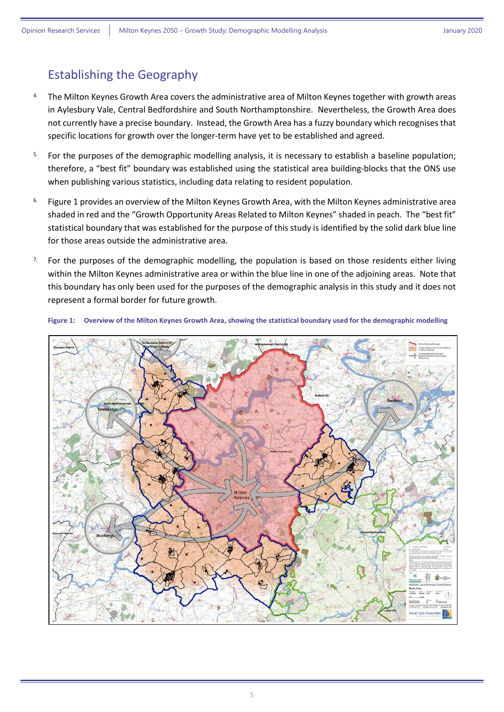#### <span id="page-4-0"></span>Establishing the Geography

- <sup>4.</sup> The Milton Keynes Growth Area covers the administrative area of Milton Keynes together with growth areas in Aylesbury Vale, Central Bedfordshire and South Northamptonshire. Nevertheless, the Growth Area does not currently have a precise boundary. Instead, the Growth Area has a fuzzy boundary which recognises that specific locations for growth over the longer-term have yet to be established and agreed.
- <sup>5.</sup> For the purposes of the demographic modelling analysis, it is necessary to establish a baseline population; therefore, a "best fit" boundary was established using the statistical area building-blocks that the ONS use when publishing various statistics, including data relating to resident population.
- 6. [Figure 1](#page-4-1) provides an overview of the Milton Keynes Growth Area, with the Milton Keynes administrative area shaded in red and the "Growth Opportunity Areas Related to Milton Keynes" shaded in peach. The "best fit" statistical boundary that was established for the purpose of this study is identified by the solid dark blue line for those areas outside the administrative area.
- <sup>7.</sup> For the purposes of the demographic modelling, the population is based on those residents either living within the Milton Keynes administrative area or within the blue line in one of the adjoining areas. Note that this boundary has only been used for the purposes of the demographic analysis in this study and it does not represent a formal border for future growth.



<span id="page-4-1"></span>**Figure 1: Overview of the Milton Keynes Growth Area, showing the statistical boundary used for the demographic modelling**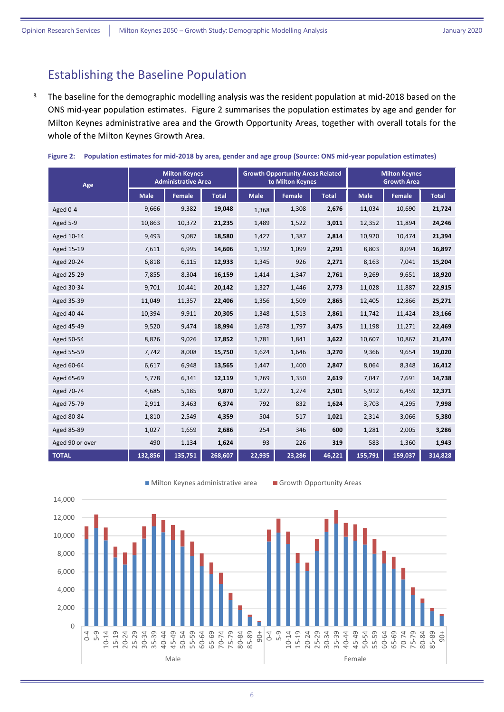#### <span id="page-5-0"></span>Establishing the Baseline Population

8. The baseline for the demographic modelling analysis was the resident population at mid-2018 based on the ONS mid-year population estimates. [Figure 2](#page-5-1) summarises the population estimates by age and gender for Milton Keynes administrative area and the Growth Opportunity Areas, together with overall totals for the whole of the Milton Keynes Growth Area.

| Age             | <b>Milton Keynes</b><br><b>Administrative Area</b> |               |              | <b>Growth Opportunity Areas Related</b><br>to Milton Keynes |        |              | <b>Milton Keynes</b><br><b>Growth Area</b> |         |              |
|-----------------|----------------------------------------------------|---------------|--------------|-------------------------------------------------------------|--------|--------------|--------------------------------------------|---------|--------------|
|                 | <b>Male</b>                                        | <b>Female</b> | <b>Total</b> | <b>Male</b>                                                 | Female | <b>Total</b> | <b>Male</b>                                | Female  | <b>Total</b> |
| Aged 0-4        | 9,666                                              | 9,382         | 19,048       | 1,368                                                       | 1,308  | 2,676        | 11,034                                     | 10,690  | 21,724       |
| Aged 5-9        | 10,863                                             | 10,372        | 21,235       | 1,489                                                       | 1,522  | 3,011        | 12,352                                     | 11,894  | 24,246       |
| Aged 10-14      | 9,493                                              | 9,087         | 18,580       | 1,427                                                       | 1,387  | 2,814        | 10,920                                     | 10,474  | 21,394       |
| Aged 15-19      | 7,611                                              | 6,995         | 14,606       | 1,192                                                       | 1,099  | 2,291        | 8,803                                      | 8,094   | 16,897       |
| Aged 20-24      | 6,818                                              | 6,115         | 12,933       | 1,345                                                       | 926    | 2,271        | 8,163                                      | 7,041   | 15,204       |
| Aged 25-29      | 7,855                                              | 8,304         | 16,159       | 1,414                                                       | 1,347  | 2,761        | 9,269                                      | 9,651   | 18,920       |
| Aged 30-34      | 9,701                                              | 10,441        | 20,142       | 1,327                                                       | 1,446  | 2,773        | 11,028                                     | 11,887  | 22,915       |
| Aged 35-39      | 11,049                                             | 11,357        | 22,406       | 1,356                                                       | 1,509  | 2,865        | 12,405                                     | 12,866  | 25,271       |
| Aged 40-44      | 10,394                                             | 9,911         | 20,305       | 1,348                                                       | 1,513  | 2,861        | 11,742                                     | 11,424  | 23,166       |
| Aged 45-49      | 9,520                                              | 9,474         | 18,994       | 1,678                                                       | 1,797  | 3,475        | 11,198                                     | 11,271  | 22,469       |
| Aged 50-54      | 8,826                                              | 9,026         | 17,852       | 1,781                                                       | 1,841  | 3,622        | 10,607                                     | 10,867  | 21,474       |
| Aged 55-59      | 7,742                                              | 8,008         | 15,750       | 1,624                                                       | 1,646  | 3,270        | 9,366                                      | 9,654   | 19,020       |
| Aged 60-64      | 6,617                                              | 6,948         | 13,565       | 1,447                                                       | 1,400  | 2,847        | 8,064                                      | 8,348   | 16,412       |
| Aged 65-69      | 5,778                                              | 6,341         | 12,119       | 1,269                                                       | 1,350  | 2,619        | 7,047                                      | 7,691   | 14,738       |
| Aged 70-74      | 4,685                                              | 5,185         | 9,870        | 1,227                                                       | 1,274  | 2,501        | 5,912                                      | 6,459   | 12,371       |
| Aged 75-79      | 2,911                                              | 3,463         | 6,374        | 792                                                         | 832    | 1,624        | 3,703                                      | 4,295   | 7,998        |
| Aged 80-84      | 1,810                                              | 2,549         | 4,359        | 504                                                         | 517    | 1,021        | 2,314                                      | 3,066   | 5,380        |
| Aged 85-89      | 1,027                                              | 1,659         | 2,686        | 254                                                         | 346    | 600          | 1,281                                      | 2,005   | 3,286        |
| Aged 90 or over | 490                                                | 1,134         | 1,624        | 93                                                          | 226    | 319          | 583                                        | 1,360   | 1,943        |
| <b>TOTAL</b>    | 132,856                                            | 135,751       | 268,607      | 22,935                                                      | 23,286 | 46,221       | 155,791                                    | 159,037 | 314,828      |

<span id="page-5-1"></span>

|  |  |  |  | Figure 2: Population estimates for mid-2018 by area, gender and age group (Source: ONS mid-year population estimates) |  |
|--|--|--|--|-----------------------------------------------------------------------------------------------------------------------|--|
|--|--|--|--|-----------------------------------------------------------------------------------------------------------------------|--|

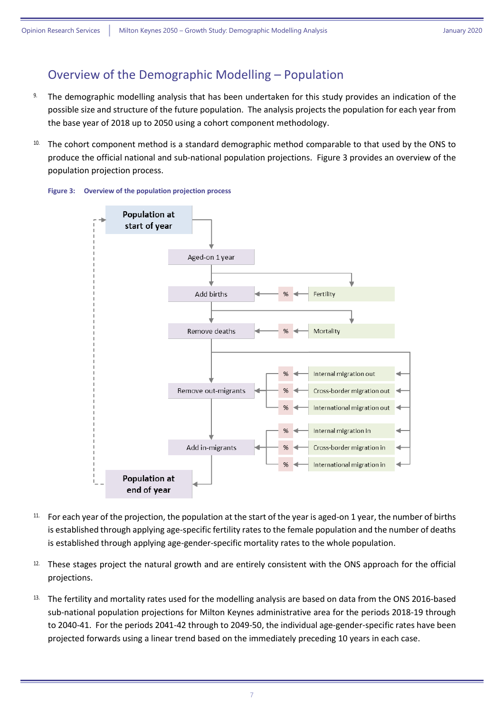#### <span id="page-6-0"></span>Overview of the Demographic Modelling – Population

- 9. The demographic modelling analysis that has been undertaken for this study provides an indication of the possible size and structure of the future population. The analysis projects the population for each year from the base year of 2018 up to 2050 using a cohort component methodology.
- 10. The cohort component method is a standard demographic method comparable to that used by the ONS to produce the official national and sub-national population projections. [Figure 3](#page-6-1) provides an overview of the population projection process.

<span id="page-6-1"></span>



- <sup>11.</sup> For each year of the projection, the population at the start of the year is aged-on 1 year, the number of births is established through applying age-specific fertility rates to the female population and the number of deaths is established through applying age-gender-specific mortality rates to the whole population.
- 12. These stages project the natural growth and are entirely consistent with the ONS approach for the official projections.
- 13. The fertility and mortality rates used for the modelling analysis are based on data from the ONS 2016-based sub-national population projections for Milton Keynes administrative area for the periods 2018-19 through to 2040-41. For the periods 2041-42 through to 2049-50, the individual age-gender-specific rates have been projected forwards using a linear trend based on the immediately preceding 10 years in each case.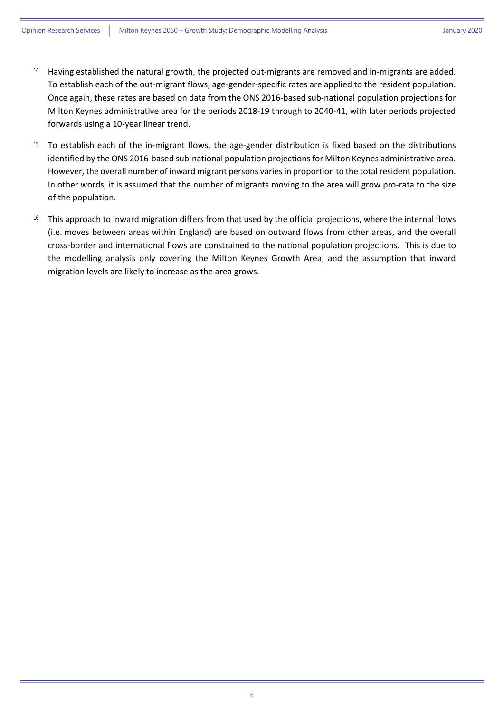- <sup>14.</sup> Having established the natural growth, the projected out-migrants are removed and in-migrants are added. To establish each of the out-migrant flows, age-gender-specific rates are applied to the resident population. Once again, these rates are based on data from the ONS 2016-based sub-national population projections for Milton Keynes administrative area for the periods 2018-19 through to 2040-41, with later periods projected forwards using a 10-year linear trend.
- 15. To establish each of the in-migrant flows, the age-gender distribution is fixed based on the distributions identified by the ONS 2016-based sub-national population projections for Milton Keynes administrative area. However, the overall number of inward migrant persons variesin proportion to the total resident population. In other words, it is assumed that the number of migrants moving to the area will grow pro-rata to the size of the population.
- 16. This approach to inward migration differs from that used by the official projections, where the internal flows (i.e. moves between areas within England) are based on outward flows from other areas, and the overall cross-border and international flows are constrained to the national population projections. This is due to the modelling analysis only covering the Milton Keynes Growth Area, and the assumption that inward migration levels are likely to increase as the area grows.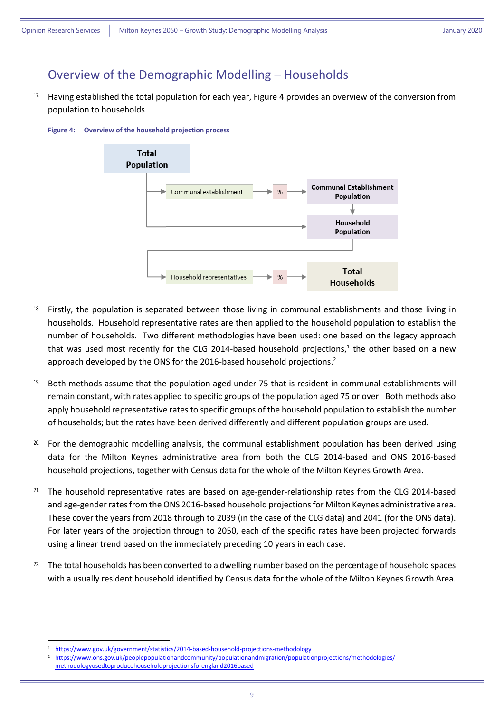#### <span id="page-8-0"></span>Overview of the Demographic Modelling – Households

<sup>17.</sup> Having established the total population for each year[, Figure 4](#page-8-1) provides an overview of the conversion from population to households.

<span id="page-8-1"></span>



- <sup>18.</sup> Firstly, the population is separated between those living in communal establishments and those living in households. Household representative rates are then applied to the household population to establish the number of households. Two different methodologies have been used: one based on the legacy approach that was used most recently for the CLG 2014-based household projections,<sup>1</sup> the other based on a new approach developed by the ONS for the 2016-based household projections.<sup>2</sup>
- $19.$  Both methods assume that the population aged under 75 that is resident in communal establishments will remain constant, with rates applied to specific groups of the population aged 75 or over. Both methods also apply household representative rates to specific groups of the household population to establish the number of households; but the rates have been derived differently and different population groups are used.
- 20. For the demographic modelling analysis, the communal establishment population has been derived using data for the Milton Keynes administrative area from both the CLG 2014-based and ONS 2016-based household projections, together with Census data for the whole of the Milton Keynes Growth Area.
- <sup>21.</sup> The household representative rates are based on age-gender-relationship rates from the CLG 2014-based and age-gender rates from the ONS 2016-based household projectionsfor Milton Keynes administrative area. These cover the years from 2018 through to 2039 (in the case of the CLG data) and 2041 (for the ONS data). For later years of the projection through to 2050, each of the specific rates have been projected forwards using a linear trend based on the immediately preceding 10 years in each case.
- <sup>22.</sup> The total households has been converted to a dwelling number based on the percentage of household spaces with a usually resident household identified by Census data for the whole of the Milton Keynes Growth Area.

**.** 

<sup>1</sup> <https://www.gov.uk/government/statistics/2014-based-household-projections-methodology>

<sup>2</sup> [https://www.ons.gov.uk/peoplepopulationandcommunity/populationandmigration/populationprojections/methodologies/](https://www.ons.gov.uk/peoplepopulationandcommunity/populationandmigration/populationprojections/methodologies/%0bmethodologyusedtoproducehouseholdprojectionsforengland2016based) [methodologyusedtoproducehouseholdprojectionsforengland2016based](https://www.ons.gov.uk/peoplepopulationandcommunity/populationandmigration/populationprojections/methodologies/%0bmethodologyusedtoproducehouseholdprojectionsforengland2016based)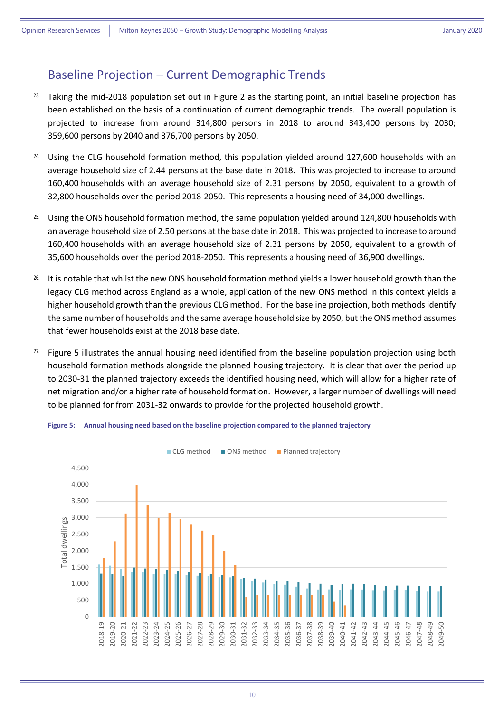#### <span id="page-9-0"></span>Baseline Projection – Current Demographic Trends

- <sup>23.</sup> Taking the mid-2018 population set out in [Figure 2](#page-5-1) as the starting point, an initial baseline projection has been established on the basis of a continuation of current demographic trends. The overall population is projected to increase from around 314,800 persons in 2018 to around 343,400 persons by 2030; 359,600 persons by 2040 and 376,700 persons by 2050.
- <sup>24.</sup> Using the CLG household formation method, this population yielded around 127,600 households with an average household size of 2.44 persons at the base date in 2018. This was projected to increase to around 160,400 households with an average household size of 2.31 persons by 2050, equivalent to a growth of 32,800 households over the period 2018-2050. This represents a housing need of 34,000 dwellings.
- 25. Using the ONS household formation method, the same population yielded around 124,800 households with an average household size of 2.50 persons at the base date in 2018. This was projected to increase to around 160,400 households with an average household size of 2.31 persons by 2050, equivalent to a growth of 35,600 households over the period 2018-2050. This represents a housing need of 36,900 dwellings.
- <sup>26.</sup> It is notable that whilst the new ONS household formation method yields a lower household growth than the legacy CLG method across England as a whole, application of the new ONS method in this context yields a higher household growth than the previous CLG method. For the baseline projection, both methods identify the same number of households and the same average household size by 2050, but the ONS method assumes that fewer households exist at the 2018 base date.
- <sup>27.</sup> [Figure 5](#page-9-1) illustrates the annual housing need identified from the baseline population projection using both household formation methods alongside the planned housing trajectory. It is clear that over the period up to 2030-31 the planned trajectory exceeds the identified housing need, which will allow for a higher rate of net migration and/or a higher rate of household formation. However, a larger number of dwellings will need to be planned for from 2031-32 onwards to provide for the projected household growth.



<span id="page-9-1"></span>**Figure 5: Annual housing need based on the baseline projection compared to the planned trajectory**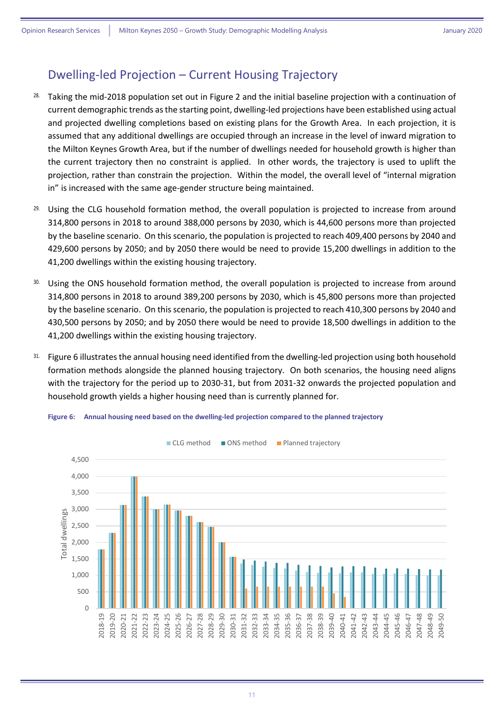#### <span id="page-10-0"></span>Dwelling-led Projection – Current Housing Trajectory

- <sup>28.</sup> Taking the mid-2018 population set out in [Figure 2](#page-5-1) and the initial baseline projection with a continuation of current demographic trends as the starting point, dwelling-led projections have been established using actual and projected dwelling completions based on existing plans for the Growth Area. In each projection, it is assumed that any additional dwellings are occupied through an increase in the level of inward migration to the Milton Keynes Growth Area, but if the number of dwellings needed for household growth is higher than the current trajectory then no constraint is applied. In other words, the trajectory is used to uplift the projection, rather than constrain the projection. Within the model, the overall level of "internal migration in" is increased with the same age-gender structure being maintained.
- <sup>29.</sup> Using the CLG household formation method, the overall population is projected to increase from around 314,800 persons in 2018 to around 388,000 persons by 2030, which is 44,600 persons more than projected by the baseline scenario. On this scenario, the population is projected to reach 409,400 persons by 2040 and 429,600 persons by 2050; and by 2050 there would be need to provide 15,200 dwellings in addition to the 41,200 dwellings within the existing housing trajectory.
- 30. Using the ONS household formation method, the overall population is projected to increase from around 314,800 persons in 2018 to around 389,200 persons by 2030, which is 45,800 persons more than projected by the baseline scenario. On this scenario, the population is projected to reach 410,300 persons by 2040 and 430,500 persons by 2050; and by 2050 there would be need to provide 18,500 dwellings in addition to the 41,200 dwellings within the existing housing trajectory.
- 31. [Figure 6](#page-10-1) illustrates the annual housing need identified from the dwelling-led projection using both household formation methods alongside the planned housing trajectory. On both scenarios, the housing need aligns with the trajectory for the period up to 2030-31, but from 2031-32 onwards the projected population and household growth yields a higher housing need than is currently planned for.



<span id="page-10-1"></span>**Figure 6: Annual housing need based on the dwelling-led projection compared to the planned trajectory**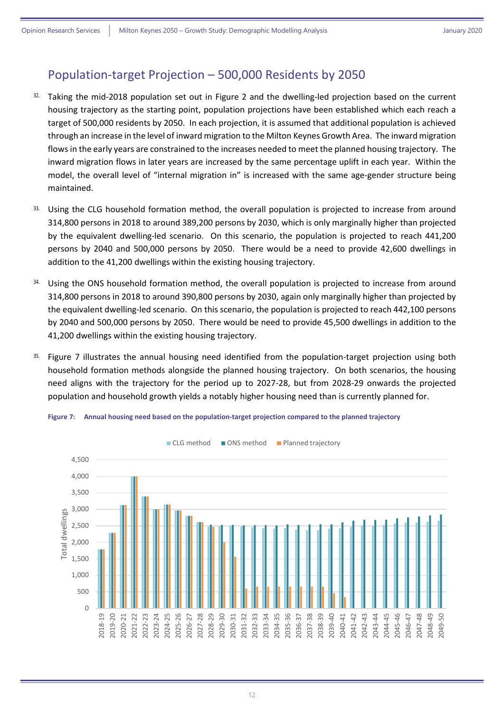#### <span id="page-11-0"></span>Population-target Projection – 500,000 Residents by 2050

- 32. Taking the mid-2018 population set out in [Figure 2](#page-5-1) and the dwelling-led projection based on the current housing trajectory as the starting point, population projections have been established which each reach a target of 500,000 residents by 2050. In each projection, it is assumed that additional population is achieved through an increase in the level of inward migration to the Milton Keynes Growth Area. The inward migration flows in the early years are constrained to the increases needed to meet the planned housing trajectory. The inward migration flows in later years are increased by the same percentage uplift in each year. Within the model, the overall level of "internal migration in" is increased with the same age-gender structure being maintained.
- 33. Using the CLG household formation method, the overall population is projected to increase from around 314,800 persons in 2018 to around 389,200 persons by 2030, which is only marginally higher than projected by the equivalent dwelling-led scenario. On this scenario, the population is projected to reach 441,200 persons by 2040 and 500,000 persons by 2050. There would be a need to provide 42,600 dwellings in addition to the 41,200 dwellings within the existing housing trajectory.
- <sup>34.</sup> Using the ONS household formation method, the overall population is projected to increase from around 314,800 persons in 2018 to around 390,800 persons by 2030, again only marginally higher than projected by the equivalent dwelling-led scenario. On this scenario, the population is projected to reach 442,100 persons by 2040 and 500,000 persons by 2050. There would be need to provide 45,500 dwellings in addition to the 41,200 dwellings within the existing housing trajectory.
- 35. [Figure 7](#page-11-1) illustrates the annual housing need identified from the population-target projection using both household formation methods alongside the planned housing trajectory. On both scenarios, the housing need aligns with the trajectory for the period up to 2027-28, but from 2028-29 onwards the projected population and household growth yields a notably higher housing need than is currently planned for.



<span id="page-11-1"></span>**Figure 7: Annual housing need based on the population-target projection compared to the planned trajectory**